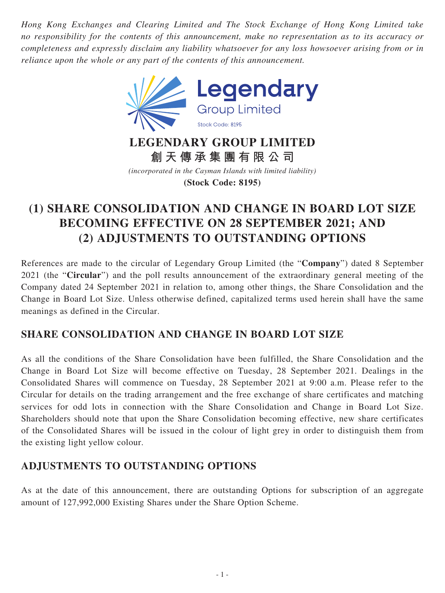*Hong Kong Exchanges and Clearing Limited and The Stock Exchange of Hong Kong Limited take no responsibility for the contents of this announcement, make no representation as to its accuracy or completeness and expressly disclaim any liability whatsoever for any loss howsoever arising from or in reliance upon the whole or any part of the contents of this announcement.*



*(incorporated in the Cayman Islands with limited liability)* **(Stock Code: 8195)**

## **(1) SHARE CONSOLIDATION AND CHANGE IN BOARD LOT SIZE BECOMING EFFECTIVE ON 28 SEPTEMBER 2021; AND (2) ADJUSTMENTS TO OUTSTANDING OPTIONS**

References are made to the circular of Legendary Group Limited (the "**Company**") dated 8 September 2021 (the "**Circular**") and the poll results announcement of the extraordinary general meeting of the Company dated 24 September 2021 in relation to, among other things, the Share Consolidation and the Change in Board Lot Size. Unless otherwise defined, capitalized terms used herein shall have the same meanings as defined in the Circular.

## **SHARE CONSOLIDATION AND CHANGE IN BOARD LOT SIZE**

As all the conditions of the Share Consolidation have been fulfilled, the Share Consolidation and the Change in Board Lot Size will become effective on Tuesday, 28 September 2021. Dealings in the Consolidated Shares will commence on Tuesday, 28 September 2021 at 9:00 a.m. Please refer to the Circular for details on the trading arrangement and the free exchange of share certificates and matching services for odd lots in connection with the Share Consolidation and Change in Board Lot Size. Shareholders should note that upon the Share Consolidation becoming effective, new share certificates of the Consolidated Shares will be issued in the colour of light grey in order to distinguish them from the existing light yellow colour.

## **ADJUSTMENTS TO OUTSTANDING OPTIONS**

As at the date of this announcement, there are outstanding Options for subscription of an aggregate amount of 127,992,000 Existing Shares under the Share Option Scheme.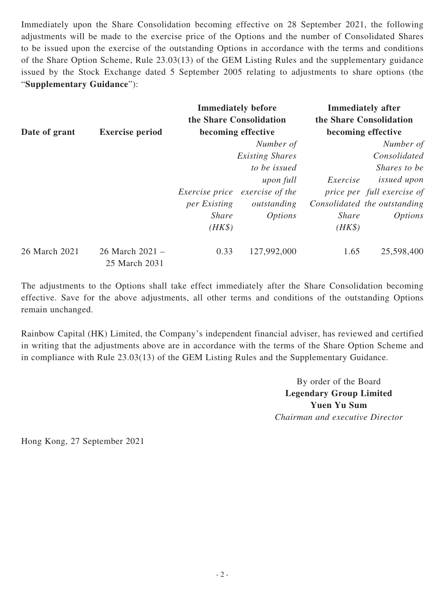Immediately upon the Share Consolidation becoming effective on 28 September 2021, the following adjustments will be made to the exercise price of the Options and the number of Consolidated Shares to be issued upon the exercise of the outstanding Options in accordance with the terms and conditions of the Share Option Scheme, Rule 23.03(13) of the GEM Listing Rules and the supplementary guidance issued by the Stock Exchange dated 5 September 2005 relating to adjustments to share options (the "**Supplementary Guidance**"):

|               | <b>Exercise period</b>           | <b>Immediately before</b><br>the Share Consolidation<br>becoming effective |                 | <b>Immediately after</b><br>the Share Consolidation<br>becoming effective |                              |
|---------------|----------------------------------|----------------------------------------------------------------------------|-----------------|---------------------------------------------------------------------------|------------------------------|
| Date of grant |                                  |                                                                            |                 |                                                                           |                              |
|               |                                  |                                                                            | Number of       |                                                                           | Number of                    |
|               |                                  | <b>Existing Shares</b>                                                     |                 |                                                                           | Consolidated                 |
|               |                                  |                                                                            | to be issued    |                                                                           | Shares to be                 |
|               |                                  |                                                                            | upon full       | Exercise                                                                  | <i>issued upon</i>           |
|               |                                  | <i>Exercise price</i>                                                      | exercise of the |                                                                           | price per full exercise of   |
|               |                                  | per Existing                                                               | outstanding     |                                                                           | Consolidated the outstanding |
|               |                                  | <i>Share</i>                                                               | <i>Options</i>  | <b>Share</b>                                                              | <i>Options</i>               |
|               |                                  | $(HK\$                                                                     |                 | $(HK\$                                                                    |                              |
| 26 March 2021 | 26 March 2021 -<br>25 March 2031 | 0.33                                                                       | 127,992,000     | 1.65                                                                      | 25,598,400                   |

The adjustments to the Options shall take effect immediately after the Share Consolidation becoming effective. Save for the above adjustments, all other terms and conditions of the outstanding Options remain unchanged.

Rainbow Capital (HK) Limited, the Company's independent financial adviser, has reviewed and certified in writing that the adjustments above are in accordance with the terms of the Share Option Scheme and in compliance with Rule 23.03(13) of the GEM Listing Rules and the Supplementary Guidance.

> By order of the Board **Legendary Group Limited Yuen Yu Sum** *Chairman and executive Director*

Hong Kong, 27 September 2021